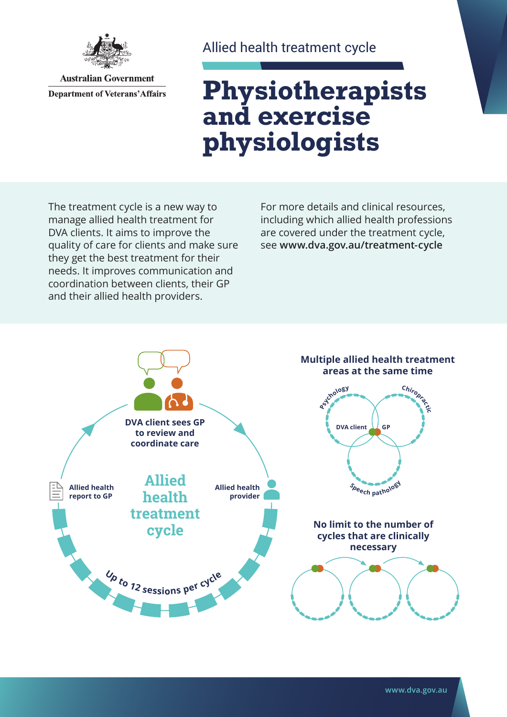

**Australian Government Department of Veterans' Affairs** 

#### Allied health treatment cycle

# **Physiotherapists and exercise physiologists**

The treatment cycle is a new way to manage allied health treatment for DVA clients. It aims to improve the quality of care for clients and make sure they get the best treatment for their needs. It improves communication and coordination between clients, their GP and their allied health providers.

For more details and clinical resources, including which allied health professions are covered under the treatment cycle, see **[www.dva.gov.au/](http://www.dva.gov.au/treatment-cycle)treatment-cycle**